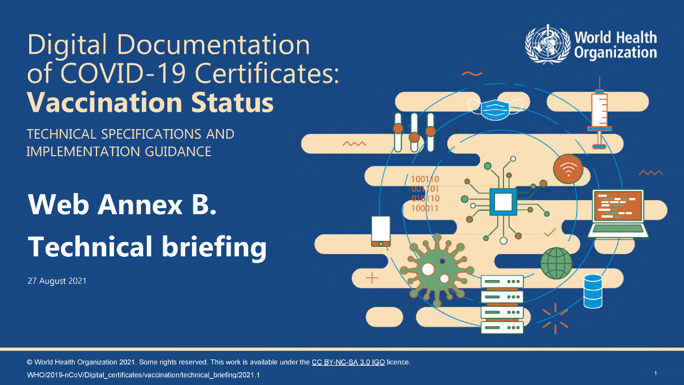## Digital Documentation of COVID-19 Certificates: **Vaccination Status**



TECHNICAL SPECIFICATIONS AND IMPLEMENTATION GUIDANCE

# **Web Annex B. Technical briefing**

27 August 2021



© World Health Organization 2021. Some rights reserved. This work is available under the CC [BY-NC-SA](https://creativecommons.org/licenses/by-nc-sa/3.0/igo/) 3.0 IGO licence. WHO/2019-nCoV/Digital certificates/vaccination/technical briefing/2021.1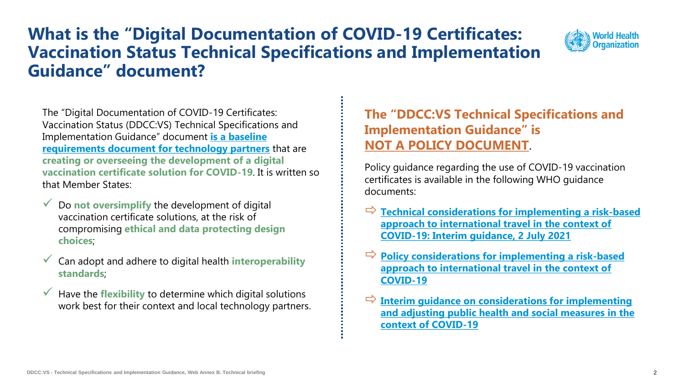### **What is the "Digital Documentation of COVID-19 Certificates: Vaccination Status Technical Specifications and Implementation Guidance" document?**



The "Digital Documentation of COVID-19 Certificates: Vaccination Status (DDCC:VS) Technical Specifications and Implementation Guidance" document **is a baseline requirements document for technology partners** that are **creating or overseeing the development of a digital vaccination certificate solution for COVID-19**. It is written so that Member States:

- ✓ Do **not oversimplify** the development of digital vaccination certificate solutions, at the risk of compromising **ethical and data protecting design choices**;
- ✓ Can adopt and adhere to digital health **interoperability standards**;
- $\checkmark$  Have the **flexibility** to determine which digital solutions work best for their context and local technology partners.

### **The "DDCC:VS Technical Specifications and Implementation Guidance" is NOT A POLICY DOCUMENT**.

Policy guidance regarding the use of COVID-19 vaccination certificates is available in the following WHO guidance documents:

- **[Technical considerations for implementing a risk-based](https://www.who.int/publications/i/item/WHO-2019-nCoV-Risk-based-international-travel-2021.1)  approach to international travel in the context of COVID-19: Interim guidance, 2 July 2021**
- **[Policy considerations for implementing a risk-based](https://apps.who.int/iris/handle/10665/342235)  approach to international travel in the context of COVID-19**
- **[Interim guidance on considerations for implementing](https://www.who.int/publications/i/item/considerations-in-adjusting-public-health-and-social-measures-in-the-context-of-covid-19-interim-guidance)  and adjusting public health and social measures in the context of COVID-19**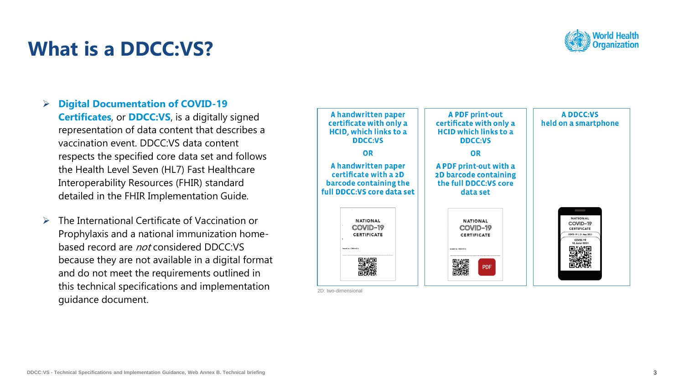### **What is a DDCC:VS?**



- ➢ **Digital Documentation of COVID -19 Certificates**, or **DDCC:VS**, is a digitally signed representation of data content that describes a vaccination event. DDCC:VS data content respects the specified core data set and follows the Health Level Seven (HL7) Fast Healthcare Interoperability Resources (FHIR) standard detailed in the FHIR Implementation Guide.
- ➢ The International Certificate of Vaccination or Prophylaxis and a national immunization home based record are not considered DDCC:VS because they are not available in a digital format and do not meet the requirements outlined in this technical specifications and implementation guidance document.

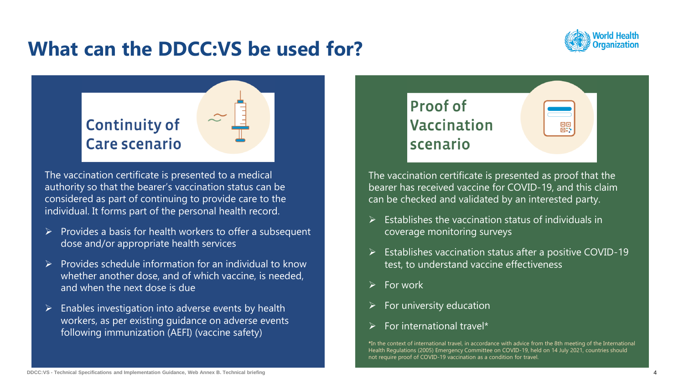### **What can the DDCC:VS be used for?**





The vaccination certificate is presented to a medical authority so that the bearer's vaccination status can be considered as part of continuing to provide care to the individual. It forms part of the personal health record.

- $\triangleright$  Provides a basis for health workers to offer a subsequent dose and/or appropriate health services
- ➢ Provides schedule information for an individual to know whether another dose, and of which vaccine, is needed, and when the next dose is due
- $\triangleright$  Enables investigation into adverse events by health workers, as per existing guidance on adverse events following immunization (AEFI) (vaccine safety)



The vaccination certificate is presented as proof that the bearer has received vaccine for COVID-19, and this claim can be checked and validated by an interested party.

- ➢ Establishes the vaccination status of individuals in coverage monitoring surveys
- ➢ Establishes vaccination status after a positive COVID-19 test, to understand vaccine effectiveness
- $\triangleright$  For work
- ➢ For university education
- ➢ For international travel\*

**\***In the context of international travel, in accordance with advice from the 8th meeting of the International Health Regulations (2005) Emergency Committee on COVID-19, held on 14 July 2021, countries should not require proof of COVID-19 vaccination as a condition for travel.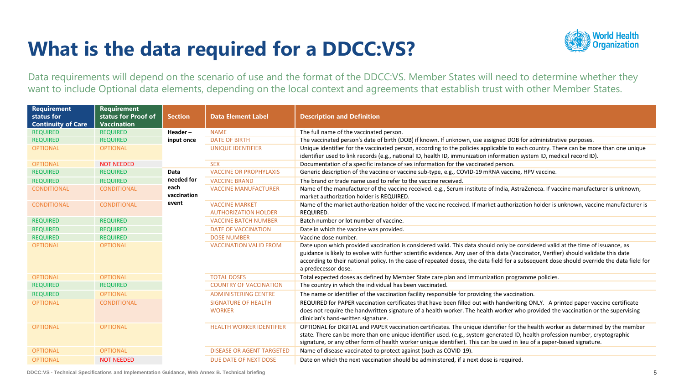### **What is the data required for a DDCC:VS?**



Data requirements will depend on the scenario of use and the format of the DDCC:VS. Member States will need to determine whether they want to include Optional data elements, depending on the local context and agreements that establish trust with other Member States.

| <b>Requirement</b><br>status for<br><b>Continuity of Care</b> | <b>Requirement</b><br>status for Proof of<br><b>Vaccination</b> | <b>Section</b>      | <b>Data Element Label</b>                            | <b>Description and Definition</b>                                                                                                                                                                                                                                                                                                                                                                                                             |
|---------------------------------------------------------------|-----------------------------------------------------------------|---------------------|------------------------------------------------------|-----------------------------------------------------------------------------------------------------------------------------------------------------------------------------------------------------------------------------------------------------------------------------------------------------------------------------------------------------------------------------------------------------------------------------------------------|
| <b>REQUIRED</b>                                               | <b>REQUIRED</b>                                                 | Header $-$          | <b>NAME</b>                                          | The full name of the vaccinated person.                                                                                                                                                                                                                                                                                                                                                                                                       |
| <b>REQUIRED</b>                                               | <b>REQUIRED</b>                                                 | input once          | <b>DATE OF BIRTH</b>                                 | The vaccinated person's date of birth (DOB) if known. If unknown, use assigned DOB for administrative purposes.                                                                                                                                                                                                                                                                                                                               |
| <b>OPTIONAL</b>                                               | <b>OPTIONAL</b>                                                 |                     | <b>UNIQUE IDENTIFIER</b>                             | Unique identifier for the vaccinated person, according to the policies applicable to each country. There can be more than one unique<br>identifier used to link records (e.g., national ID, health ID, immunization information system ID, medical record ID).                                                                                                                                                                                |
| <b>OPTIONAL</b>                                               | <b>NOT NEEDED</b>                                               |                     | <b>SEX</b>                                           | Documentation of a specific instance of sex information for the vaccinated person.                                                                                                                                                                                                                                                                                                                                                            |
| <b>REQUIRED</b>                                               | <b>REQUIRED</b>                                                 | Data                | <b>VACCINE OR PROPHYLAXIS</b>                        | Generic description of the vaccine or vaccine sub-type, e.g., COVID-19 mRNA vaccine, HPV vaccine.                                                                                                                                                                                                                                                                                                                                             |
| <b>REQUIRED</b>                                               | <b>REQUIRED</b>                                                 | needed for          | <b>VACCINE BRAND</b>                                 | The brand or trade name used to refer to the vaccine received.                                                                                                                                                                                                                                                                                                                                                                                |
| <b>CONDITIONAL</b>                                            | <b>CONDITIONAL</b>                                              | each<br>vaccination | <b>VACCINE MANUFACTURER</b>                          | Name of the manufacturer of the vaccine received. e.g., Serum institute of India, AstraZeneca. If vaccine manufacturer is unknown,<br>market authorization holder is REQUIRED.                                                                                                                                                                                                                                                                |
| <b>CONDITIONAL</b>                                            | <b>CONDITIONAL</b>                                              | event               | <b>VACCINE MARKET</b><br><b>AUTHORIZATION HOLDER</b> | Name of the market authorization holder of the vaccine received. If market authorization holder is unknown, vaccine manufacturer is<br>REQUIRED.                                                                                                                                                                                                                                                                                              |
| <b>REQUIRED</b>                                               | <b>REQUIRED</b>                                                 |                     | <b>VACCINE BATCH NUMBER</b>                          | Batch number or lot number of vaccine.                                                                                                                                                                                                                                                                                                                                                                                                        |
| <b>REQUIRED</b>                                               | <b>REQUIRED</b>                                                 |                     | <b>DATE OF VACCINATION</b>                           | Date in which the vaccine was provided.                                                                                                                                                                                                                                                                                                                                                                                                       |
| <b>REQUIRED</b>                                               | <b>REQUIRED</b>                                                 |                     | <b>DOSE NUMBER</b>                                   | Vaccine dose number.                                                                                                                                                                                                                                                                                                                                                                                                                          |
| <b>OPTIONAL</b>                                               | <b>OPTIONAL</b>                                                 |                     | <b>VACCINATION VALID FROM</b>                        | Date upon which provided vaccination is considered valid. This data should only be considered valid at the time of issuance, as<br>guidance is likely to evolve with further scientific evidence. Any user of this data (Vaccinator, Verifier) should validate this date<br>according to their national policy. In the case of repeated doses, the data field for a subsequent dose should override the data field for<br>a predecessor dose. |
| <b>OPTIONAL</b>                                               | <b>OPTIONAL</b>                                                 |                     | <b>TOTAL DOSES</b>                                   | Total expected doses as defined by Member State care plan and immunization programme policies.                                                                                                                                                                                                                                                                                                                                                |
| <b>REQUIRED</b>                                               | <b>REQUIRED</b>                                                 |                     | <b>COUNTRY OF VACCINATION</b>                        | The country in which the individual has been vaccinated.                                                                                                                                                                                                                                                                                                                                                                                      |
| <b>REQUIRED</b>                                               | <b>OPTIONAL</b>                                                 |                     | <b>ADMINISTERING CENTRE</b>                          | The name or identifier of the vaccination facility responsible for providing the vaccination.                                                                                                                                                                                                                                                                                                                                                 |
| <b>OPTIONAL</b>                                               | <b>CONDITIONAL</b>                                              |                     | <b>SIGNATURE OF HEALTH</b><br><b>WORKER</b>          | REQUIRED for PAPER vaccination certificates that have been filled out with handwriting ONLY. A printed paper vaccine certificate<br>does not require the handwritten signature of a health worker. The health worker who provided the vaccination or the supervising<br>clinician's hand-written signature.                                                                                                                                   |
| <b>OPTIONAL</b>                                               | <b>OPTIONAL</b>                                                 |                     | <b>HEALTH WORKER IDENTIFIER</b>                      | OPTIONAL for DIGITAL and PAPER vaccination certificates. The unique identifier for the health worker as determined by the member<br>state. There can be more than one unique identifier used. (e.g., system generated ID, health profession number, cryptographic<br>signature, or any other form of health worker unique identifier). This can be used in lieu of a paper-based signature.                                                   |
| <b>OPTIONAL</b>                                               | <b>OPTIONAL</b>                                                 |                     | <b>DISEASE OR AGENT TARGETED</b>                     | Name of disease vaccinated to protect against (such as COVID-19).                                                                                                                                                                                                                                                                                                                                                                             |
| <b>OPTIONAL</b>                                               | <b>NOT NEEDED</b>                                               |                     | DUE DATE OF NEXT DOSE                                | Date on which the next vaccination should be administered, if a next dose is required.                                                                                                                                                                                                                                                                                                                                                        |

**DDCC:VS - Technical Specifications and Implementation Guidance, Web Annex B. Technical briefing**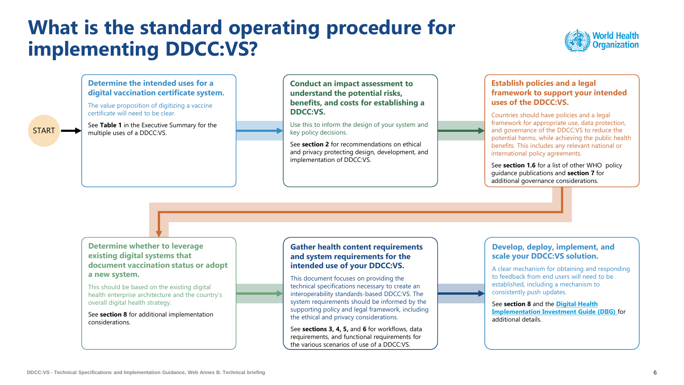### **What is the standard operating procedure for implementing DDCC:VS?**



**Determine the intended uses for a digital vaccination certificate system..**

The value proposition of digitizing a vaccine certificate will need to be clear.

See **Table 1** in the Executive Summary for the multiple uses of a DDCC:VS.

START

**Conduct an impact assessment to understand the potential risks, benefits, and costs for establishing a DDCC:VS.**

Use this to inform the design of your system and key policy decisions.

See **section 2** for recommendations on ethical and privacy protecting design, development, and implementation of DDCC:VS.

#### **Establish policies and a legal framework to support your intended uses of the DDCC:VS.**

Countries should have policies and a legal framework for appropriate use, data protection, and governance of the DDCC:VS to reduce the potential harms, while achieving the public health benefits. This includes any relevant national or international policy agreements.

See **section 1.6** for a list of other WHO policy guidance publications and **section 7** for additional governance considerations.

**Determine whether to leverage existing digital systems that document vaccination status or adopt a new system.** 

This should be based on the existing digital health enterprise architecture and the country's overall digital health strategy.

See **section 8** for additional implementation considerations.

#### **Gather health content requirements and system requirements for the intended use of your DDCC:VS.**

This document focuses on providing the technical specifications necessary to create an interoperability standards-based DDCC:VS. The system requirements should be informed by the supporting policy and legal framework, including the ethical and privacy considerations.

See **sections 3, 4, 5,** and **6** for workflows, data requirements, and functional requirements for the various scenarios of use of a DDCC:VS.

#### **Develop, deploy, implement, and scale your DDCC:VS solution.**

A clear mechanism for obtaining and responding to feedback from end users will need to be established, including a mechanism to consistently push updates.

See **section 8** and the **Digital Health [Implementation Investment Guide \(DIIG\)](https://www.who.int/publications/i/item/9789240010567)** for additional details.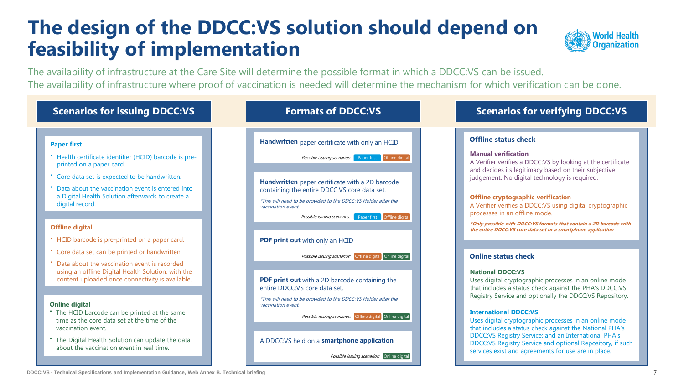### **The design of the DDCC:VS solution should depend on feasibility of implementation**



The availability of infrastructure at the Care Site will determine the possible format in which a DDCC:VS can be issued. The availability of infrastructure where proof of vaccination is needed will determine the mechanism for which verification can be done.

| <b>Scenarios for issuing DDCC:VS</b>                                                                                                                   | <b>Formats of DDCC:VS</b>                                                                                                                                                                       | <b>Scenarios for verifying DDCC:VS</b>                                                                                                                                                                                              |  |
|--------------------------------------------------------------------------------------------------------------------------------------------------------|-------------------------------------------------------------------------------------------------------------------------------------------------------------------------------------------------|-------------------------------------------------------------------------------------------------------------------------------------------------------------------------------------------------------------------------------------|--|
|                                                                                                                                                        |                                                                                                                                                                                                 |                                                                                                                                                                                                                                     |  |
| <b>Paper first</b>                                                                                                                                     | Handwritten paper certificate with only an HCID                                                                                                                                                 | <b>Offline status check</b>                                                                                                                                                                                                         |  |
| * Health certificate identifier (HCID) barcode is pre-<br>printed on a paper card.                                                                     | Possible issuing scenarios: Paper first   Offline digital                                                                                                                                       | <b>Manual verification</b><br>A Verifier verifies a DDCC:VS by looking at the certificate<br>and decides its legitimacy based on their subjective                                                                                   |  |
| * Core data set is expected to be handwritten.                                                                                                         | Handwritten paper certificate with a 2D barcode                                                                                                                                                 | judgement. No digital technology is required.                                                                                                                                                                                       |  |
| * Data about the vaccination event is entered into<br>a Digital Health Solution afterwards to create a<br>digital record.                              | containing the entire DDCC:VS core data set.<br>*This will need to be provided to the DDCC:VS Holder after the<br>vaccination event.<br>Possible issuing scenarios: Paper first Cffline digital | <b>Offline cryptographic verification</b><br>A Verifier verifies a DDCC:VS using digital cryptographic<br>processes in an offline mode.                                                                                             |  |
| <b>Offline digital</b>                                                                                                                                 |                                                                                                                                                                                                 | *Only possible with DDCC:VS formats that contain a 2D barcode with<br>the entire DDCC:VS core data set or a smartphone application                                                                                                  |  |
| • HCID barcode is pre-printed on a paper card.                                                                                                         | PDF print out with only an HCID                                                                                                                                                                 |                                                                                                                                                                                                                                     |  |
| * Core data set can be printed or handwritten.                                                                                                         | Possible issuing scenarios: Offline digital Online digital                                                                                                                                      | <b>Online status check</b>                                                                                                                                                                                                          |  |
| Data about the vaccination event is recorded<br>using an offline Digital Health Solution, with the<br>content uploaded once connectivity is available. | PDF print out with a 2D barcode containing the<br>entire DDCC:VS core data set.                                                                                                                 | <b>National DDCC:VS</b><br>Uses digital cryptographic processes in an online mode<br>that includes a status check against the PHA's DDCC:VS                                                                                         |  |
| <b>Online digital</b><br>* The HCID barcode can be printed at the same<br>time as the core data set at the time of the                                 | *This will need to be provided to the DDCC:VS Holder after the<br>vaccination event.<br>Possible issuing scenarios: Offline digital Online digital                                              | Registry Service and optionally the DDCC:VS Repository.<br><b>International DDCC:VS</b><br>Uses digital cryptographic processes in an online mode                                                                                   |  |
| vaccination event.<br>* The Digital Health Solution can update the data<br>about the vaccination event in real time.                                   | A DDCC:VS held on a smartphone application                                                                                                                                                      | that includes a status check against the National PHA's<br>DDCC:VS Registry Service; and an International PHA's<br>DDCC:VS Registry Service and optional Repository, if such<br>services exist and agreements for use are in place. |  |
|                                                                                                                                                        | Possible issuing scenarios: Online digital                                                                                                                                                      |                                                                                                                                                                                                                                     |  |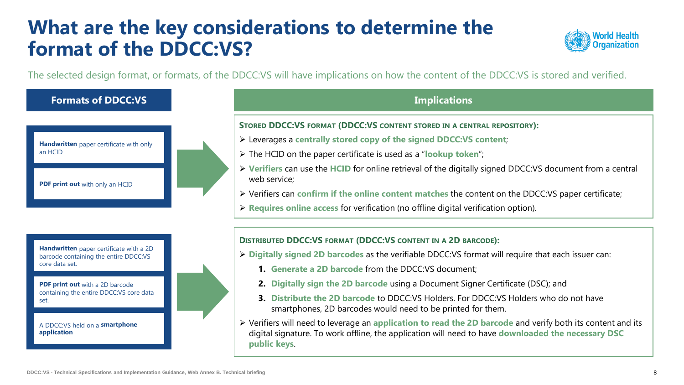### **What are the key considerations to determine the format of the DDCC:VS?**



The selected design format, or formats, of the DDCC:VS will have implications on how the content of the DDCC:VS is stored and verified.

#### **Formats of DDCC:VS**

**Handwritten** paper certificate with only an HCID

**PDF print out** with only an HCID

**Handwritten** paper certificate with a 2D barcode containing the entire DDCC:VS core data set.

**PDF print out** with a 2D barcode containing the entire DDCC:VS core data set.

A DDCC:VS held on a **smartphone application**

#### **Implications**

**STORED DDCC:VS FORMAT (DDCC:VS CONTENT STORED IN A CENTRAL REPOSITORY):**

- ➢ Leverages a **centrally stored copy of the signed DDCC:VS content**;
- ➢ The HCID on the paper certificate is used as a "**lookup token**";
- ➢ **Verifiers** can use the **HCID** for online retrieval of the digitally signed DDCC:VS document from a central web service;
- ➢ Verifiers can **confirm if the online content matches** the content on the DDCC:VS paper certificate;
- ➢ **Requires online access** for verification (no offline digital verification option).

#### **DISTRIBUTED DDCC:VS FORMAT (DDCC:VS CONTENT IN A 2D BARCODE):**

- ➢ **Digitally signed 2D barcodes** as the verifiable DDCC:VS format will require that each issuer can:
	- **1. Generate a 2D barcode** from the DDCC:VS document;
	- **2. Digitally sign the 2D barcode** using a Document Signer Certificate (DSC); and
	- **3. Distribute the 2D barcode** to DDCC:VS Holders. For DDCC:VS Holders who do not have smartphones, 2D barcodes would need to be printed for them.
- ➢ Verifiers will need to leverage an **application to read the 2D barcode** and verify both its content and its digital signature. To work offline, the application will need to have **downloaded the necessary DSC public keys**.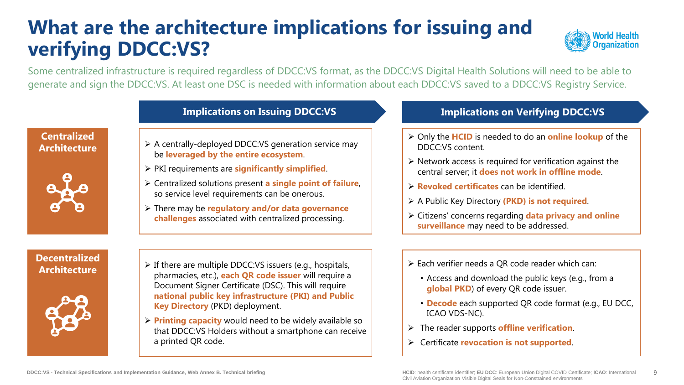### **What are the architecture implications for issuing and verifying DDCC:VS?**



Some centralized infrastructure is required regardless of DDCC:VS format, as the DDCC:VS Digital Health Solutions will need to be able to generate and sign the DDCC:VS. At least one DSC is needed with information about each DDCC:VS saved to a DDCC:VS Registry Service.

**Centralized Architecture**



- ➢ A centrally-deployed DDCC:VS generation service may be **leveraged by the entire ecosystem**.
- ➢ PKI requirements are **significantly simplified**.
- ➢ Centralized solutions present **a single point of failure**, so service level requirements can be onerous.
- ➢ There may be **regulatory and/or data governance challenges** associated with centralized processing.

#### **Implications on Issuing DDCC:VS Implications on Verifying DDCC:VS**

- ➢ Only the **HCID** is needed to do an **online lookup** of the DDCC:VS content.
- $\triangleright$  Network access is required for verification against the central server; it **does not work in offline mode**.
- ➢ **Revoked certificates** can be identified.
- ➢ A Public Key Directory **(PKD) is not required**.
- ➢ Citizens' concerns regarding **data privacy and online surveillance** may need to be addressed.

**Decentralized** 



- **Architecture**  $\triangleright$  If there are multiple DDCC:VS issuers (e.g., hospitals, pharmacies, etc.), **each QR code issuer** will require a Document Signer Certificate (DSC). This will require **national public key infrastructure (PKI) and Public Key Directory** (PKD) deployment.
	- ➢ **Printing capacity** would need to be widely available so that DDCC:VS Holders without a smartphone can receive a printed QR code.
- ➢ Each verifier needs a QR code reader which can:
	- Access and download the public keys (e.g., from a **global PKD**) of every QR code issuer.
	- **Decode** each supported QR code format (e.g., EU DCC, ICAO VDS-NC).
- ➢ The reader supports **offline verification**.
- ➢ Certificate **revocation is not supported**.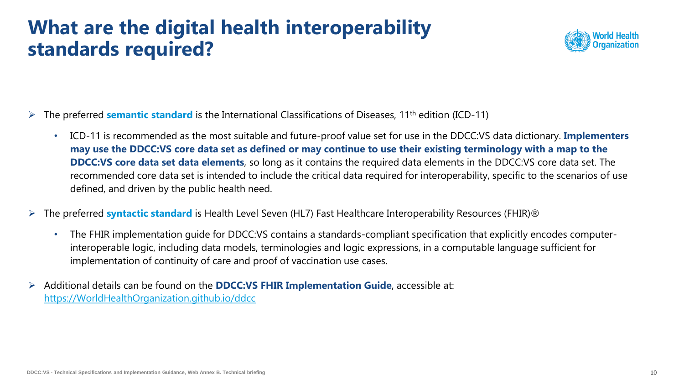### **What are the digital health interoperability standards required?**



- ➢ The preferred **semantic standard** is the International Classifications of Diseases, 11th edition (ICD-11)
	- ICD-11 is recommended as the most suitable and future-proof value set for use in the DDCC:VS data dictionary. **Implementers may use the DDCC:VS core data set as defined or may continue to use their existing terminology with a map to the DDCC:VS core data set data elements**, so long as it contains the required data elements in the DDCC:VS core data set. The recommended core data set is intended to include the critical data required for interoperability, specific to the scenarios of use defined, and driven by the public health need.
- ➢ The preferred **syntactic standard** is Health Level Seven (HL7) Fast Healthcare Interoperability Resources (FHIR)®
	- The FHIR implementation guide for DDCC:VS contains a standards-compliant specification that explicitly encodes computerinteroperable logic, including data models, terminologies and logic expressions, in a computable language sufficient for implementation of continuity of care and proof of vaccination use cases.
- ➢ Additional details can be found on the **DDCC:VS FHIR Implementation Guide**, accessible at: [https://WorldHealthOrganization.github.io/ddcc](https://worldhealthorganization.github.io/ddcc)